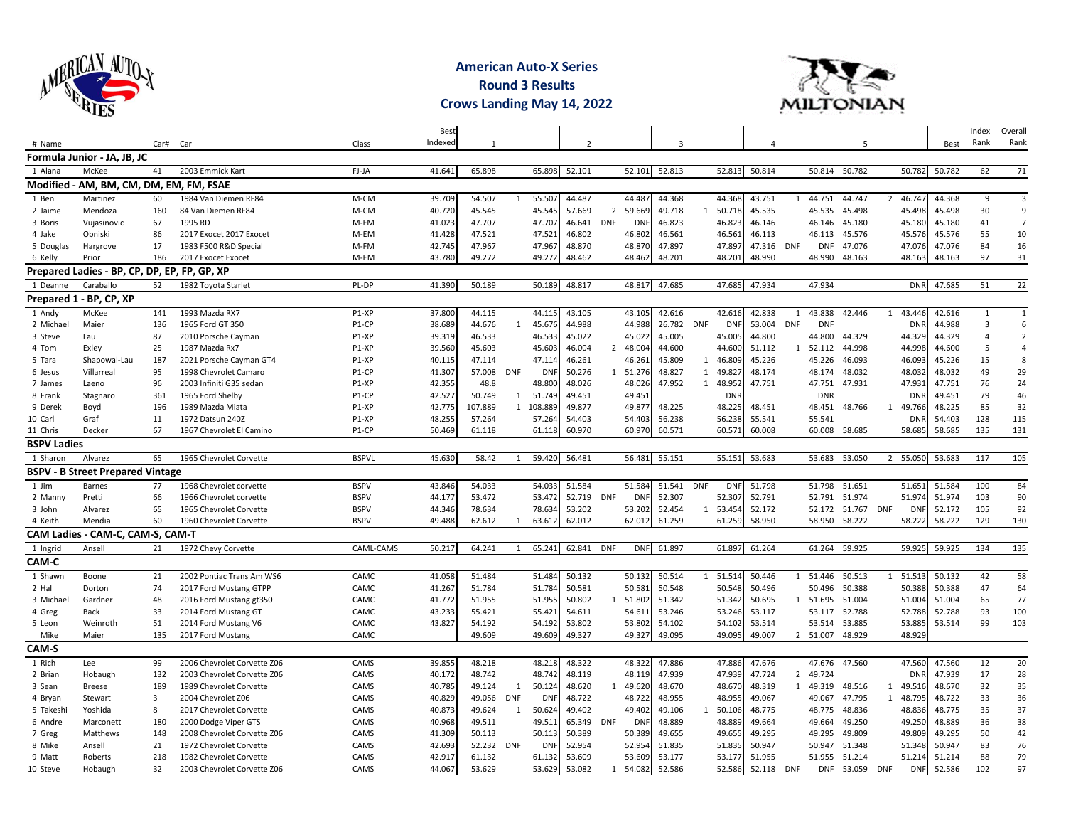

## **American Auto-X Series Round 3 Results Crows Landing May 14, 2022**



|                    |                                              |          |                             |              | Best<br>Indexed |         |                |            |                |                |            |        |              |            |        |                |            | 5      |              |            |            | Index<br>Rank  | Overall<br>Rank |
|--------------------|----------------------------------------------|----------|-----------------------------|--------------|-----------------|---------|----------------|------------|----------------|----------------|------------|--------|--------------|------------|--------|----------------|------------|--------|--------------|------------|------------|----------------|-----------------|
| # Name             |                                              | Car# Car |                             | Class        |                 | 1       |                |            | $\overline{2}$ |                |            | 3      |              |            | 4      |                |            |        |              |            | Best       |                |                 |
|                    | Formula Junior - JA, JB, JC                  |          |                             |              |                 |         |                |            |                |                |            |        |              |            |        |                |            |        |              |            |            |                |                 |
| 1 Alana            | McKee                                        | 41       | 2003 Emmick Kart            | FJ-JA        | 41.641          | 65.898  |                | 65.898     | 52.101         |                | 52.101     | 52.813 |              | 52.813     | 50.814 |                | 50.814     | 50.782 |              | 50.782     | 50.782     | 62             | 71              |
|                    | Modified - AM, BM, CM, DM, EM, FM, FSAE      |          |                             |              |                 |         |                |            |                |                |            |        |              |            |        |                |            |        |              |            |            |                |                 |
| 1 Ben              | Martinez                                     | 60       | 1984 Van Diemen RF84        | M-CM         | 39.709          | 54.507  | 1              | 55.507     | 44.487         |                | 44.487     | 44.368 |              | 44.368     | 43.751 | 1              | 44.751     | 44.747 | 2            | 46.747     | 44.368     | 9              | $\overline{3}$  |
| 2 Jaime            | Mendoza                                      | 160      | 84 Van Diemen RF84          | M-CM         | 40.720          | 45.545  |                | 45.545     | 57.669         | $\overline{2}$ | 59.669     | 49.718 | 1            | 50.718     | 45.535 |                | 45.535     | 45.498 |              | 45.498     | 45.498     | 30             | 9               |
| 3 Boris            | Vujasinovic                                  | 67       | 1995 RD                     | M-FM         | 41.023          | 47.707  |                | 47.707     | 46.641 DNF     |                | DNI        | 46.823 |              | 46.823     | 46.146 |                | 46.146     | 45.180 |              | 45.180     | 45.180     | 41             | $\overline{7}$  |
| 4 Jake             | Obniski                                      | 86       | 2017 Exocet 2017 Exocet     | M-EM         | 41.428          | 47.521  |                | 47.521     | 46.802         |                | 46.802     | 46.561 |              | 46.561     | 46.113 |                | 46.113     | 45.576 |              | 45.576     | 45.576     | 55             | 10              |
| 5 Douglas          | Hargrove                                     | 17       | 1983 F500 R&D Special       | M-FM         | 42.745          | 47.967  |                | 47.967     | 48.870         |                | 48.870     | 47.897 |              | 47.897     | 47.316 | <b>DNF</b>     | <b>DNF</b> | 47.076 |              | 47.076     | 47.076     | 84             | 16              |
| 6 Kelly            | Prior                                        | 186      | 2017 Exocet Exocet          | M-EM         | 43.780          | 49.272  |                | 49.272     | 48.462         |                | 48.462     | 48.201 |              | 48.201     | 48.990 |                | 48.990     | 48.163 |              | 48.163     | 48.163     | 97             | 31              |
|                    | Prepared Ladies - BP, CP, DP, EP, FP, GP, XP |          |                             |              |                 |         |                |            |                |                |            |        |              |            |        |                |            |        |              |            |            |                |                 |
| 1 Deanne           | Caraballo                                    | 52       | 1982 Toyota Starlet         | PL-DP        | 41.390          | 50.189  |                | 50.189     | 48.817         |                | 48.817     | 47.685 |              | 47.685     | 47.934 |                | 47.934     |        |              |            | DNR 47.685 | 51             | 22              |
|                    | Prepared 1 - BP, CP, XP                      |          |                             |              |                 |         |                |            |                |                |            |        |              |            |        |                |            |        |              |            |            |                |                 |
| 1 Andy             | McKee                                        | 141      | 1993 Mazda RX7              | $P1 - XP$    | 37.800          | 44.115  |                | 44.115     | 43.105         |                | 43.105     | 42.616 |              | 42.616     | 42.838 | 1              | 43.838     | 42.446 | 1            | 43.446     | 42.616     | 1              | $\mathbf{1}$    |
| 2 Michael          | Maier                                        | 136      | 1965 Ford GT 350            | P1-CP        | 38.689          | 44.676  | -1             | 45.676     | 44.988         |                | 44.988     | 26.782 | <b>DNF</b>   | <b>DNF</b> | 53.004 | <b>DNF</b>     | <b>DNF</b> |        |              | <b>DNR</b> | 44.988     | $\overline{3}$ | 6               |
| 3 Steve            | Lau                                          | 87       | 2010 Porsche Cayman         | P1-XP        | 39.319          | 46.533  |                | 46.533     | 45.022         |                | 45.022     | 45.005 |              | 45.005     | 44.800 |                | 44.800     | 44.329 |              | 44.329     | 44.329     | $\overline{a}$ | $\overline{2}$  |
| 4 Tom              | Exley                                        | 25       | 1987 Mazda Rx7              | P1-XP        | 39.560          | 45.603  |                | 45.603     | 46.004         |                | 2 48.004   | 44.600 |              | 44.600     | 51.112 | 1              | 52.112     | 44.998 |              | 44.998     | 44.600     | 5              | $\overline{4}$  |
| 5 Tara             | Shapowal-Lau                                 | 187      | 2021 Porsche Cayman GT4     | P1-XP        | 40.115          | 47.114  |                | 47.114     | 46.261         |                | 46.261     | 45.809 | 1            | 46.809     | 45.226 |                | 45.226     | 46.093 |              | 46.093     | 45.226     | 15             | 8               |
| 6 Jesus            | Villarreal                                   | 95       | 1998 Chevrolet Camaro       | P1-CP        | 41.307          | 57.008  | <b>DNF</b>     | <b>DNF</b> | 50.276         |                | 1 51.276   | 48.827 |              | 1 49.82    | 48.174 |                | 48.174     | 48.032 |              | 48.032     | 48.032     | 49             | 29              |
| 7 James            | Laeno                                        | 96       | 2003 Infiniti G35 sedan     | P1-XP        | 42.355          | 48.8    |                | 48.800     | 48.026         |                | 48.026     | 47.952 |              | 1 48.952   | 47.751 |                | 47.751     | 47.931 |              | 47.931     | 47.751     | 76             | 24              |
| 8 Frank            | Stagnaro                                     | 361      | 1965 Ford Shelby            | P1-CP        | 42.527          | 50.749  | 1              | 51.749     | 49.451         |                | 49.451     |        |              | <b>DNR</b> |        |                | <b>DNI</b> |        |              | <b>DNR</b> | 49.451     | 79             | 46              |
| 9 Derek            | Boyd                                         | 196      | 1989 Mazda Miata            | P1-XP        | 42.775          | 107.889 |                | 1 108.889  | 49.877         |                | 49.877     | 48.225 |              | 48.225     | 48.451 |                | 48.451     | 48.766 |              | 1 49.766   | 48.225     | 85             | 32              |
| 10 Carl            | Graf                                         | 11       | 1972 Datsun 240Z            | P1-XP        | 48.255          | 57.264  |                | 57.264     | 54.403         |                | 54.403     | 56.238 |              | 56.238     | 55.541 |                | 55.541     |        |              | <b>DNR</b> | 54.403     | 128            | 115             |
| 11 Chris           | Decker                                       | 67       | 1967 Chevrolet El Camino    | P1-CP        | 50.469          | 61.118  |                | 61.118     | 60.970         |                | 60.970     | 60.571 |              | 60.571     | 60.008 |                | 60.008     | 58.685 |              | 58.685     | 58.685     | 135            | 131             |
| <b>BSPV Ladies</b> |                                              |          |                             |              |                 |         |                |            |                |                |            |        |              |            |        |                |            |        |              |            |            |                |                 |
| 1 Sharon           | Alvarez                                      | 65       | 1965 Chevrolet Corvette     | <b>BSPVL</b> | 45.630          | 58.42   |                | 59.420     | 56.481         |                | 56.481     | 55.151 |              | 55.151     | 53.683 |                | 53.683     | 53.050 | 2            | 55.050     | 53.683     | 117            | 105             |
|                    | <b>BSPV - B Street Prepared Vintage</b>      |          |                             |              |                 |         |                |            |                |                |            |        |              |            |        |                |            |        |              |            |            |                |                 |
| 1 Jim              | Barnes                                       | 77       | 1968 Chevrolet corvette     | <b>BSPV</b>  | 43.846          | 54.033  |                | 54.033     | 51.584         |                | 51.584     | 51.541 | <b>DNF</b>   | <b>DNF</b> | 51.798 |                | 51.798     | 51.651 |              | 51.651     | 51.584     | 100            | 84              |
| 2 Manny            | Pretti                                       | 66       | 1966 Chevrolet corvette     | <b>BSPV</b>  | 44.177          | 53.472  |                | 53.472     | 52.719         | <b>DNF</b>     | DNI        | 52.307 |              | 52.307     | 52.791 |                | 52.791     | 51.974 |              | 51.974     | 51.974     | 103            | 90              |
| 3 John             | Alvarez                                      | 65       | 1965 Chevrolet Corvette     | <b>BSPV</b>  | 44.346          | 78.634  |                | 78.634     | 53.202         |                | 53.202     | 52.454 |              | 1 53.454   | 52.172 |                | 52.172     | 51.767 | <b>DNF</b>   | <b>DNF</b> | 52.172     | 105            | 92              |
| 4 Keith            | Mendia                                       | 60       | 1960 Chevrolet Corvette     | <b>BSPV</b>  | 49.488          | 62.612  | $\overline{1}$ | 63.612     | 62.012         |                | 62.012     | 61.259 |              | 61.259     | 58.950 |                | 58.950     | 58.222 |              | 58.222     | 58.222     | 129            | 130             |
|                    | CAM Ladies - CAM-C, CAM-S, CAM-T             |          |                             |              |                 |         |                |            |                |                |            |        |              |            |        |                |            |        |              |            |            |                |                 |
| 1 Ingrid           | Ansell                                       | 21       | 1972 Chevy Corvette         | CAML-CAMS    | 50.217          | 64.241  | 1              | 65.241     | 62.841         | <b>DNF</b>     | <b>DNF</b> | 61.897 |              | 61.897     | 61.264 |                | 61.264     | 59.925 |              | 59.925     | 59.925     | 134            | 135             |
| CAM-C              |                                              |          |                             |              |                 |         |                |            |                |                |            |        |              |            |        |                |            |        |              |            |            |                |                 |
| 1 Shawn            | Boone                                        | 21       | 2002 Pontiac Trans Am WS6   | CAMC         | 41.058          | 51.484  |                | 51.484     | 50.132         |                | 50.132     | 50.514 | $\mathbf{1}$ | 51.514     | 50.446 | 1              | 51.446     | 50.513 | $\mathbf{1}$ | 51.513     | 50.132     | 42             | 58              |
| 2 Hal              | Dorton                                       | 74       | 2017 Ford Mustang GTPP      | CAMC         | 41.267          | 51.784  |                | 51.784     | 50.581         |                | 50.581     | 50.548 |              | 50.548     | 50.496 |                | 50.496     | 50.388 |              | 50.388     | 50.388     | 47             | 64              |
| 3 Michael          | Gardner                                      | 48       | 2016 Ford Mustang gt350     | CAMC         | 41.772          | 51.955  |                | 51.955     | 50.802         |                | 1 51.802   | 51.342 |              | 51.342     | 50.695 | 1              | 51.695     | 51.004 |              | 51.004     | 51.004     | 65             | 77              |
| 4 Greg             | Back                                         | 33       | 2014 Ford Mustang GT        | CAMC         | 43.233          | 55.421  |                | 55.421     | 54.611         |                | 54.611     | 53.246 |              | 53.246     | 53.117 |                | 53.117     | 52.788 |              | 52.788     | 52.788     | 93             | 100             |
| 5 Leon             | Weinroth                                     | 51       | 2014 Ford Mustang V6        | CAMC         | 43.827          | 54.192  |                | 54.192     | 53.802         |                | 53.802     | 54.102 |              | 54.102     | 53.514 |                | 53.514     | 53.885 |              | 53.885     | 53.514     | 99             | 103             |
| Mike               | Maier                                        | 135      | 2017 Ford Mustang           | CAMC         |                 | 49.609  |                | 49.609     | 49.327         |                | 49.327     | 49.095 |              | 49.095     | 49.007 | $\overline{2}$ | 51.007     | 48.929 |              | 48.929     |            |                |                 |
| CAM-S              |                                              |          |                             |              |                 |         |                |            |                |                |            |        |              |            |        |                |            |        |              |            |            |                |                 |
| 1 Rich             | Lee                                          | 99       | 2006 Chevrolet Corvette Z06 | CAMS         | 39.855          | 48.218  |                | 48.218     | 48.322         |                | 48.322     | 47.886 |              | 47.886     | 47.676 |                | 47.676     | 47.560 |              | 47.560     | 47.560     | 12             | 20              |
| 2 Brian            | Hobaugh                                      | 132      | 2003 Chevrolet Corvette Z06 | CAMS         | 40.172          | 48.742  |                | 48.742     | 48.119         |                | 48.119     | 47.939 |              | 47.939     | 47.724 | $\overline{2}$ | 49.724     |        |              | <b>DNR</b> | 47.939     | 17             | 28              |
| 3 Sean             | <b>Breese</b>                                | 189      | 1989 Chevrolet Corvette     | CAMS         | 40.785          | 49.124  | 1              | 50.124     | 48.620         |                | 1 49.620   | 48.670 |              | 48.670     | 48.319 | 1              | 49.319     | 48.516 |              | 1 49.516   | 48.670     | 32             | 35              |
| 4 Bryan            | Stewart                                      | 3        | 2004 Chevrolet Z06          | CAMS         | 40.829          | 49.056  | <b>DNF</b>     | <b>DNF</b> | 48.722         |                | 48.722     | 48.955 |              | 48.955     | 49.067 |                | 49.067     | 47.795 | 1            | 48.795     | 48.722     | 33             | 36              |
| 5 Takeshi          | Yoshida                                      | 8        | 2017 Chevrolet Corvette     | CAMS         | 40.873          | 49.624  | 1              | 50.624     | 49.402         |                | 49.402     | 49.106 | 1            | 50.106     | 48.775 |                | 48.775     | 48.836 |              | 48.836     | 48.775     | 35             | 37              |
| 6 Andre            | Marconett                                    | 180      | 2000 Dodge Viper GTS        | CAMS         | 40.968          | 49.511  |                | 49.511     | 65.349         | <b>DNF</b>     | <b>DN</b>  | 48.889 |              | 48.889     | 49.664 |                | 49.664     | 49.250 |              | 49.250     | 48.889     | 36             | 38              |
| 7 Greg             | Matthews                                     | 148      | 2008 Chevrolet Corvette Z06 | CAMS         | 41.309          | 50.113  |                | 50.113     | 50.389         |                | 50.389     | 49.655 |              | 49.655     | 49.295 |                | 49.295     | 49.809 |              | 49.809     | 49.295     | 50             | 42              |
| 8 Mike             | Ansell                                       | 21       | 1972 Chevrolet Corvette     | CAMS         | 42.693          | 52.232  | DNF            | <b>DNF</b> | 52.954         |                | 52.954     | 51.835 |              | 51.835     | 50.947 |                | 50.947     | 51.348 |              | 51.348     | 50.947     | 83             | 76              |
| 9 Matt             | Roberts                                      | 218      | 1982 Chevrolet Corvette     | CAMS         | 42.917          | 61.132  |                | 61.132     | 53.609         |                | 53.609     | 53.177 |              | 53.177     | 51.955 |                | 51.955     | 51.214 |              | 51.214     | 51.214     | 88             | 79              |
| 10 Steve           | Hobaugh                                      | 32       | 2003 Chevrolet Corvette Z06 | CAMS         | 44.067          | 53.629  |                | 53.629     | 53.082         | $\mathbf{1}$   | 54.082     | 52.586 |              | 52.586     | 52.118 | <b>DNF</b>     | <b>DNF</b> | 53.059 | <b>DNF</b>   | <b>DNF</b> | 52.586     | 102            | 97              |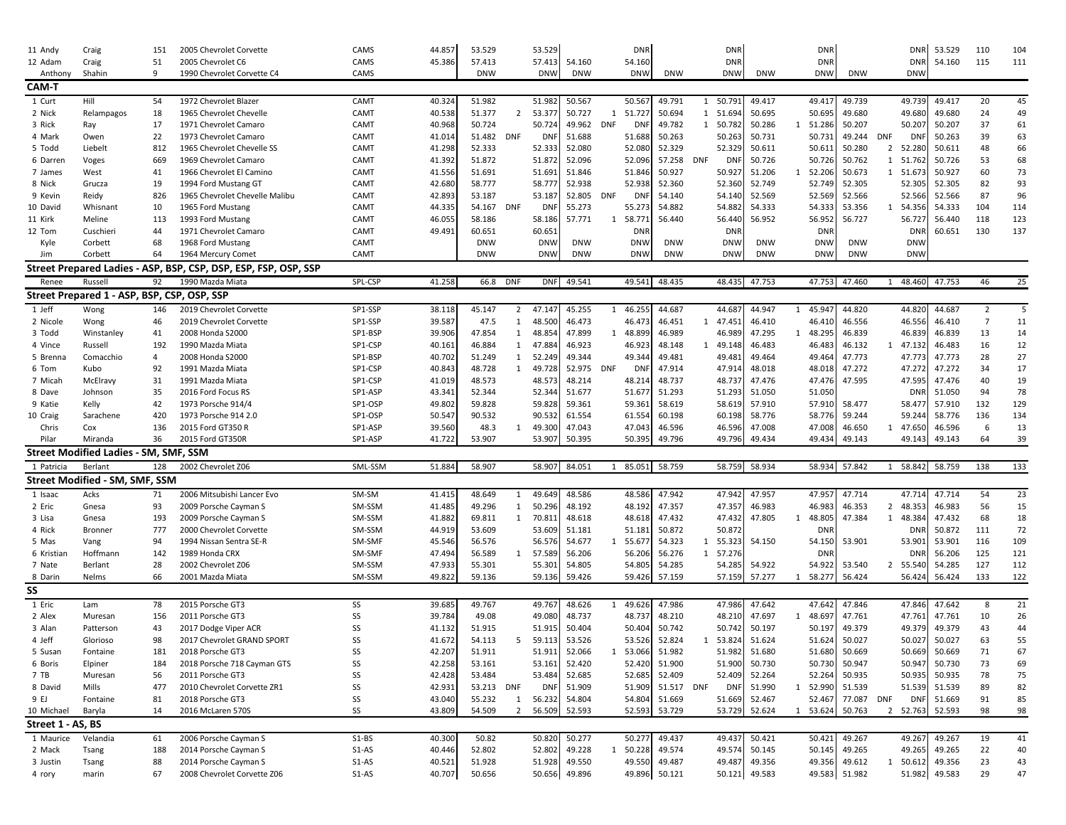| 11 Andy           | Craig                                        | 151      | 2005 Chevrolet Corvette                                         | CAMS    | 44.857 | 53.529     |                | 53.529     |            |            | <b>DNR</b> |               |     | <b>DNR</b>    |                  |              | <b>DNF</b> |               |                | <b>DNR</b>       | 53.529           | 110            | 104 |
|-------------------|----------------------------------------------|----------|-----------------------------------------------------------------|---------|--------|------------|----------------|------------|------------|------------|------------|---------------|-----|---------------|------------------|--------------|------------|---------------|----------------|------------------|------------------|----------------|-----|
| 12 Adam           | Craig                                        | 51       | 2005 Chevrolet C6                                               | CAMS    | 45.386 | 57.413     |                | 57.413     | 54.160     |            | 54.160     |               |     | <b>DNR</b>    |                  |              | <b>DNF</b> |               |                | <b>DNR</b>       | 54.160           | 115            | 111 |
| Anthon            | Shahin                                       | q        | 1990 Chevrolet Corvette C4                                      | CAMS    |        | <b>DNW</b> |                | <b>DNW</b> | <b>DNW</b> |            | <b>DNW</b> | <b>DNW</b>    |     | <b>DNW</b>    | <b>DNW</b>       |              | <b>DNW</b> | <b>DNW</b>    |                | <b>DNW</b>       |                  |                |     |
| CAM-T             |                                              |          |                                                                 |         |        |            |                |            |            |            |            |               |     |               |                  |              |            |               |                |                  |                  |                |     |
| 1 Curt            | Hill                                         | 54       | 1972 Chevrolet Blazer                                           | CAMT    | 40.324 | 51.982     |                | 51.982     | 50.567     |            | 50.567     | 49.791        |     | 1 50.791      | 49.417           |              | 49.417     | 49.739        |                | 49.739           | 49.417           | 20             | 45  |
| 2 Nick            | Relampagos                                   | 18       | 1965 Chevrolet Chevelle                                         | CAMT    | 40.538 | 51.377     | 2              | 53.377     | 50.727     | 1          | 51.727     | 50.694        |     | 1 51.694      | 50.695           |              | 50.695     | 49.680        |                | 49.680           | 49.680           | 24             | 49  |
| 3 Rick            | Ray                                          | 17       | 1971 Chevrolet Camaro                                           | CAMT    | 40.968 | 50.724     |                | 50.724     | 49.962     | <b>DNF</b> | DN         | 49.782        |     | 1 50.782      | 50.286           | 1            | 51.286     | 50.207        |                | 50.207           | 50.207           | 37             | 61  |
| 4 Mark            | Owen                                         | 22       | 1973 Chevrolet Camaro                                           | CAMT    | 41.014 | 51.482 DNF |                | <b>DNF</b> | 51.688     |            | 51.688     | 50.263        |     | 50.263        | 50.731           |              | 50.731     | 49.244        | DNF            | <b>DNF</b>       | 50.263           | 39             | 63  |
| 5 Todd            | Liebelt                                      | 812      | 1965 Chevrolet Chevelle SS                                      | CAMT    | 41.298 | 52.333     |                | 52.333     | 52.080     |            | 52.080     | 52.329        |     | 52.329        | 50.611           |              | 50.611     | 50.280        | $\overline{2}$ | 52.280           | 50.611           | 48             | 66  |
| 6 Darren          |                                              | 669      | 1969 Chevrolet Camaro                                           | CAMT    | 41.392 | 51.872     |                | 51.872     | 52.096     |            | 52.09      | 57.258        | DNF | DNI           | 50.726           |              | 50.726     | 50.762        |                | 1 51.762         | 50.726           | 53             | 68  |
|                   | Voges                                        |          |                                                                 |         |        |            |                |            | 51.846     |            |            | 50.927        |     |               | 51.206           | 1            | 52.206     | 50.673        | 1              |                  | 50.927           | 60             | 73  |
| 7 James           | West                                         | 41<br>19 | 1966 Chevrolet El Camino                                        | CAMT    | 41.556 | 51.691     |                | 51.691     | 52.938     |            | 51.846     |               |     | 50.927        |                  |              |            | 52.305        |                | 51.673<br>52.305 | 52.305           | 82             | 93  |
| 8 Nick            | Grucza                                       |          | 1994 Ford Mustang GT<br>1965 Chevrolet Chevelle Malibu          | CAMT    | 42.680 | 58.777     |                | 58.777     |            |            | 52.938     | 52.360        |     | 52.360        | 52.749<br>52.569 |              | 52.749     | 52.566        |                |                  | 52.566           | 87             | 96  |
| 9 Kevin           | Reidy                                        | 826      |                                                                 | CAMT    | 42.893 | 53.187     |                | 53.187     | 52.805     | <b>DNF</b> | DN         | 54.140        |     | 54.140        |                  |              | 52.569     |               |                | 52.566           |                  |                |     |
| 10 David          | Whisnant                                     | 10       | 1965 Ford Mustang                                               | CAMT    | 44.335 | 54.167     | DNF            | <b>DN</b>  | 55.273     |            | 55.27      | 54.882        |     | 54.882        | 54.333           |              | 54.333     | 53.356        | 1              | 54.356           | 54.333           | 104            | 114 |
| 11 Kirk           | Meline                                       | 113      | 1993 Ford Mustang                                               | CAMT    | 46.055 | 58.186     |                | 58.186     | 57.771     | 1          | 58.77      | 56.440        |     | 56.440        | 56.952           |              | 56.952     | 56.727        |                | 56.727           | 56.440           | 118            | 123 |
| 12 Tom            | Cuschieri                                    | 44       | 1971 Chevrolet Camaro                                           | CAMT    | 49.491 | 60.651     |                | 60.651     |            |            | DNI        |               |     | DNR           |                  |              | <b>DNF</b> |               |                | <b>DNR</b>       | 60.651           | 130            | 137 |
| Kyle              | Corbett                                      | 68       | 1968 Ford Mustang                                               | CAMT    |        | <b>DNW</b> |                | <b>DNW</b> | <b>DNW</b> |            | <b>DNW</b> | <b>DNW</b>    |     | <b>DNW</b>    | <b>DNW</b>       |              | <b>DNW</b> | <b>DNW</b>    |                | <b>DNW</b>       |                  |                |     |
| Jim               | Corbett                                      | 64       | 1964 Mercury Comet                                              | CAMT    |        | <b>DNW</b> |                | <b>DNW</b> | <b>DNW</b> |            | <b>DNW</b> | <b>DNW</b>    |     | <b>DNW</b>    | <b>DNW</b>       |              | <b>DNW</b> | <b>DNW</b>    |                | <b>DNW</b>       |                  |                |     |
|                   |                                              |          | Street Prepared Ladies - ASP, BSP, CSP, DSP, ESP, FSP, OSP, SSP |         |        |            |                |            |            |            |            |               |     |               |                  |              |            |               |                |                  |                  |                |     |
| Renee             | Russell                                      | 92       | 1990 Mazda Miata                                                | SPL-CSP | 41.258 | 66.8 DNF   |                | <b>DNF</b> | 49.541     |            |            | 49.541 48.435 |     | 48.435        | 47.753           |              | 47.753     | 47.460        | 1              | 48.460           | 47.753           | 46             | 25  |
|                   | Street Prepared 1 - ASP, BSP, CSP, OSP, SSP  |          |                                                                 |         |        |            |                |            |            |            |            |               |     |               |                  |              |            |               |                |                  |                  |                |     |
| 1 Jeff            | Wong                                         | 146      | 2019 Chevrolet Corvette                                         | SP1-SSP | 38.118 | 45.147     | $2^{\circ}$    | 47.147     | 45.255     | 1          | 46.255     | 44.687        |     | 44.687        | 44.947           | 1            | 45.947     | 44.820        |                | 44.820           | 44.687           | $\overline{2}$ | 5   |
| 2 Nicole          | Wong                                         | 46       | 2019 Chevrolet Corvette                                         | SP1-SSP | 39.587 | 47.5       | 1              | 48.500     | 46.473     |            | 46.473     | 46.451        | 1   | 47.451        | 46.410           |              | 46.410     | 46.556        |                | 46.556           | 46.410           | $\overline{7}$ | 11  |
| 3 Todd            | Winstanley                                   | 41       | 2008 Honda S2000                                                | SP1-BSP | 39.906 | 47.854     | 1              | 48.854     | 47.899     | 1          | 48.899     | 46.989        |     | 46.989        | 47.295           | 1            | 48.295     | 46.839        |                | 46.839           | 46.839           | 13             | 14  |
| 4 Vince           | Russell                                      | 192      | 1990 Mazda Miata                                                | SP1-CSP | 40.16: | 46.884     |                | 1 47.884   | 46.923     |            | 46.923     | 48.148        | 1   | 49.148        | 46.483           |              | 46.483     | 46.132        | 1              | 47.132           | 46.483           | 16             | 12  |
| 5 Brenna          | Comacchio                                    | 4        | 2008 Honda S2000                                                | SP1-BSP | 40.702 | 51.249     | $\mathbf{1}$   | 52.249     | 49.344     |            | 49.344     | 49.481        |     | 49.481        | 49.464           |              | 49.464     | 47.773        |                | 47.773           | 47.773           | 28             | 27  |
| 6 Tom             | Kubo                                         | 92       | 1991 Mazda Miata                                                | SP1-CSP | 40.843 | 48.728     | 1              | 49.728     | 52.975 DNF |            | DNI        | 47.914        |     | 47.914        | 48.018           |              | 48.018     | 47.272        |                | 47.272           | 47.272           | 34             | 17  |
| 7 Micah           | McElravy                                     | 31       | 1991 Mazda Miata                                                | SP1-CSP | 41.019 | 48.573     |                | 48.573     | 48.214     |            | 48.214     | 48.737        |     | 48.737        | 47.476           |              | 47.476     | 47.595        |                | 47.595           | 47.476           | 40             | 19  |
| 8 Dave            | Johnson                                      | 35       | 2016 Ford Focus RS                                              | SP1-ASP | 43.341 | 52.344     |                | 52.344     | 51.677     |            | 51.67      | 51.293        |     | 51.293        | 51.050           |              | 51.050     |               |                | <b>DNR</b>       | 51.050           | 94             | 78  |
| 9 Katie           | Kelly                                        | 42       | 1973 Porsche 914/4                                              | SP1-OSP | 49.802 | 59.828     |                | 59.828     | 59.361     |            | 59.361     | 58.619        |     | 58.619        | 57.910           |              | 57.910     | 58.477        |                | 58.477           | 57.910           | 132            | 129 |
| 10 Craig          | Sarachene                                    | 420      | 1973 Porsche 914 2.0                                            | SP1-OSP | 50.547 | 90.532     |                | 90.532     | 61.554     |            | 61.554     | 60.198        |     | 60.198        | 58.776           |              | 58.776     | 59.244        |                | 59.244           | 58.776           | 136            | 134 |
| Chris             | Cox                                          | 136      | 2015 Ford GT350 R                                               | SP1-ASP | 39.560 | 48.3       | 1              | 49.300     | 47.043     |            | 47.043     | 46.596        |     | 46.596        | 47.008           |              | 47.008     | 46.650        | 1              | 47.650           | 46.596           | 6              | 13  |
| Pilar             | Miranda                                      | 36       | 2015 Ford GT350R                                                | SP1-ASP | 41.722 | 53.907     |                | 53.907     | 50.395     |            | 50.395     | 49.796        |     | 49.796        | 49.434           |              | 49.434     | 49.143        |                | 49.143           | 49.143           | 64             | 39  |
|                   |                                              |          |                                                                 |         |        |            |                |            |            |            |            |               |     |               |                  |              |            |               |                |                  |                  |                |     |
|                   | <b>Street Modified Ladies - SM, SMF, SSM</b> |          |                                                                 |         |        |            |                |            |            |            |            |               |     |               |                  |              |            |               |                |                  |                  |                |     |
| 1 Patricia        | Berlant                                      | 128      | 2002 Chevrolet Z06                                              | SML-SSM | 51.884 | 58.907     |                | 58.907     | 84.051     | 1          | 85.051     | 58.759        |     | 58.759 58.934 |                  |              | 58.934     | 57.842        | 1              | 58.842           | 58.759           | 138            | 133 |
|                   | <b>Street Modified - SM, SMF, SSM</b>        |          |                                                                 |         |        |            |                |            |            |            |            |               |     |               |                  |              |            |               |                |                  |                  |                |     |
| 1 Isaac           | Acks                                         | 71       | 2006 Mitsubishi Lancer Evo                                      | SM-SM   | 41.41  | 48.649     | 1              | 49.649     | 48.586     |            | 48.586     | 47.942        |     | 47.942        | 47.957           |              | 47.957     | 47.714        |                | 47.714           | 47.714           | 54             | 23  |
| 2 Eric            | Gnesa                                        | 93       | 2009 Porsche Cayman S                                           | SM-SSM  | 41.485 | 49.296     | 1              | 50.296     | 48.192     |            | 48.192     | 47.357        |     | 47.357        | 46.983           |              | 46.983     | 46.353        |                | 2 48.353         | 46.983           | 56             | 15  |
| 3 Lisa            | Gnesa                                        | 193      | 2009 Porsche Cayman S                                           | SM-SSM  | 41.882 | 69.811     | $\mathbf{1}$   | 70.811     | 48.618     |            | 48.618     | 47.432        |     | 47.432        | 47.805           | 1            | 48.805     | 47.384        | 1              | 48.384           | 47.432           | 68             | 18  |
| 4 Rick            | Bronner                                      | 777      | 2000 Chevrolet Corvette                                         | SM-SSM  | 44.919 | 53.609     |                | 53.609     | 51.181     |            | 51.18      | 50.872        |     | 50.872        |                  |              | <b>DNF</b> |               |                | <b>DNR</b>       | 50.872           | 111            | 72  |
| 5 Mas             | Vang                                         | 94       | 1994 Nissan Sentra SE-R                                         | SM-SMF  | 45.546 | 56.576     |                | 56.576     | 54.677     | 1          | 55.67      | 54.323        | 1   | 55.323        | 54.150           |              | 54.150     | 53.901        |                | 53.901           | 53.901           | 116            | 109 |
| 6 Kristian        | Hoffmann                                     | 142      | 1989 Honda CRX                                                  | SM-SMF  | 47.494 | 56.589     | 1              | 57.589     | 56.206     |            | 56.206     | 56.276        | 1   | 57.276        |                  |              | DNF        |               |                | <b>DNR</b>       | 56.206           | 125            | 121 |
| 7 Nate            | Berlant                                      | 28       | 2002 Chevrolet Z06                                              | SM-SSM  | 47.933 | 55.301     |                | 55.301     | 54.805     |            | 54.805     | 54.285        |     | 54.285        | 54.922           |              | 54.922     | 53.540        | $\overline{2}$ | 55.540           | 54.285           | 127            | 112 |
| 8 Darin           | Nelms                                        | 66       | 2001 Mazda Miata                                                | SM-SSM  | 49.822 | 59.136     |                | 59.136     | 59.426     |            | 59.426     | 57.159        |     | 57.159        | 57.277           | 1            | 58.277     | 56.424        |                | 56.424           | 56.424           | 133            | 122 |
| SS                |                                              |          |                                                                 |         |        |            |                |            |            |            |            |               |     |               |                  |              |            |               |                |                  |                  |                |     |
|                   |                                              |          | 2015 Porsche GT3                                                |         |        |            |                |            |            |            |            |               |     |               |                  |              |            |               |                |                  |                  |                |     |
| 1 Eric            | Lam                                          | 78       |                                                                 | SS      | 39.685 | 49.767     |                | 49.767     | 48.626     | 1          | 49.626     | 47.986        |     | 47.986        | 47.642           |              | 47.642     | 47.846        |                | 47.846           | 47.642<br>47.761 | 8              | 21  |
| 2 Alex            | Muresan                                      | 156      | 2011 Porsche GT3                                                | SS      | 39.784 | 49.08      |                | 49.080     | 48.737     |            | 48.737     | 48.210        |     | 48.210        | 47.697           | 1            | 48.697     | 47.761        |                | 47.761           |                  | 10             | 26  |
| 3 Alan            | Patterson                                    | 43       | 2017 Dodge Viper ACR                                            | SS      | 41.132 | 51.915     |                | 51.915     | 50.404     |            | 50.40      | 50.742        |     | 50.742        | 50.197           |              | 50.197     | 49.379        |                | 49.379           | 49.379           | 43             | 44  |
| 4 Jeff            | Glorioso                                     | 98       | 2017 Chevrolet GRAND SPORT                                      | SS      | 41.672 | 54.113     | -5             | 59.113     | 53.526     |            | 53.526     | 52.824        | 1   | 53.824        | 51.624           |              | 51.624     | 50.027        |                | 50.027           | 50.027           | 63             | 55  |
| 5 Susan           | Fontaine                                     | 181      | 2018 Porsche GT3                                                | SS      | 42.207 | 51.911     |                | 51.911     | 52.066     | 1          | 53.066     | 51.982        |     |               | 51.982 51.680    |              | 51.680     | 50.669        |                | 50.669           | 50.669           | 71             | 67  |
| 6 Boris           | Elpiner                                      | 184      | 2018 Porsche 718 Cayman GTS                                     | SS      | 42.258 | 53.161     |                | 53.161     | 52.420     |            | 52.420     | 51.900        |     |               | 51.900 50.730    |              | 50.730     | 50.947        |                | 50.947           | 50.730           | 73             | 69  |
| 7 TB              | Muresan                                      | 56       | 2011 Porsche GT3                                                | SS      | 42.428 | 53.484     |                | 53.484     | 52.685     |            | 52.685     | 52.409        |     | 52.409        | 52.264           |              | 52.264     | 50.935        |                | 50.935           | 50.935           | 78             | 75  |
| 8 David           | Mills                                        | 477      | 2010 Chevrolet Corvette ZR1                                     | SS      | 42.931 | 53.213 DNF |                | <b>DNF</b> | 51.909     |            | 51.909     | 51.517 DNF    |     | <b>DNF</b>    | 51.990           | $\mathbf{1}$ | 52.990     | 51.539        |                | 51.539           | 51.539           | 89             | 82  |
| 9 EJ              | Fontaine                                     | 81       | 2018 Porsche GT3                                                | SS      | 43.040 | 55.232     | $\mathbf{1}$   | 56.232     | 54.804     |            | 54.804     | 51.669        |     |               | 51.669 52.467    |              | 52.467     | 77.087        | DNF            | <b>DNF</b>       | 51.669           | 91             | 85  |
| 10 Michael        | Baryla                                       | 14       | 2016 McLaren 570S                                               | SS      | 43.809 | 54.509     | $\overline{2}$ | 56.509     | 52.593     |            | 52.593     | 53.729        |     |               | 53.729 52.624    |              | 1 53.624   | 50.763        |                | 2 52.763         | 52.593           | 98             | 98  |
| Street 1 - AS. BS |                                              |          |                                                                 |         |        |            |                |            |            |            |            |               |     |               |                  |              |            |               |                |                  |                  |                |     |
| 1 Maurice         | Velandia                                     | 61       | 2006 Porsche Cayman S                                           | $S1-BS$ | 40.300 | 50.82      |                | 50.820     | 50.277     |            | 50.277     | 49.437        |     | 49.437        | 50.421           |              | 50.421     | 49.267        |                | 49.267           | 49.267           | 19             | 41  |
| 2 Mack            | Tsang                                        | 188      | 2014 Porsche Cayman S                                           | $S1-AS$ | 40.446 | 52.802     |                | 52.802     | 49.228     | 1          | 50.228     | 49.574        |     | 49.574        | 50.145           |              | 50.145     | 49.265        |                | 49.265           | 49.265           | 22             | 40  |
| 3 Justin          | Tsang                                        | 88       | 2014 Porsche Cayman S                                           | $S1-AS$ | 40.521 | 51.928     |                | 51.928     | 49.550     |            | 49.550     | 49.487        |     | 49.487        | 49.356           |              | 49.356     | 49.612        |                | 1 50.612         | 49.356           | 23             | 43  |
|                   |                                              |          | 2008 Chevrolet Corvette Z06                                     | $S1-AS$ | 40.707 | 50.656     |                | 50.656     | 49.896     |            |            | 49.896 50.121 |     |               | 50.121 49.583    |              |            | 49.583 51.982 |                |                  | 51.982 49.583    | 29             | 47  |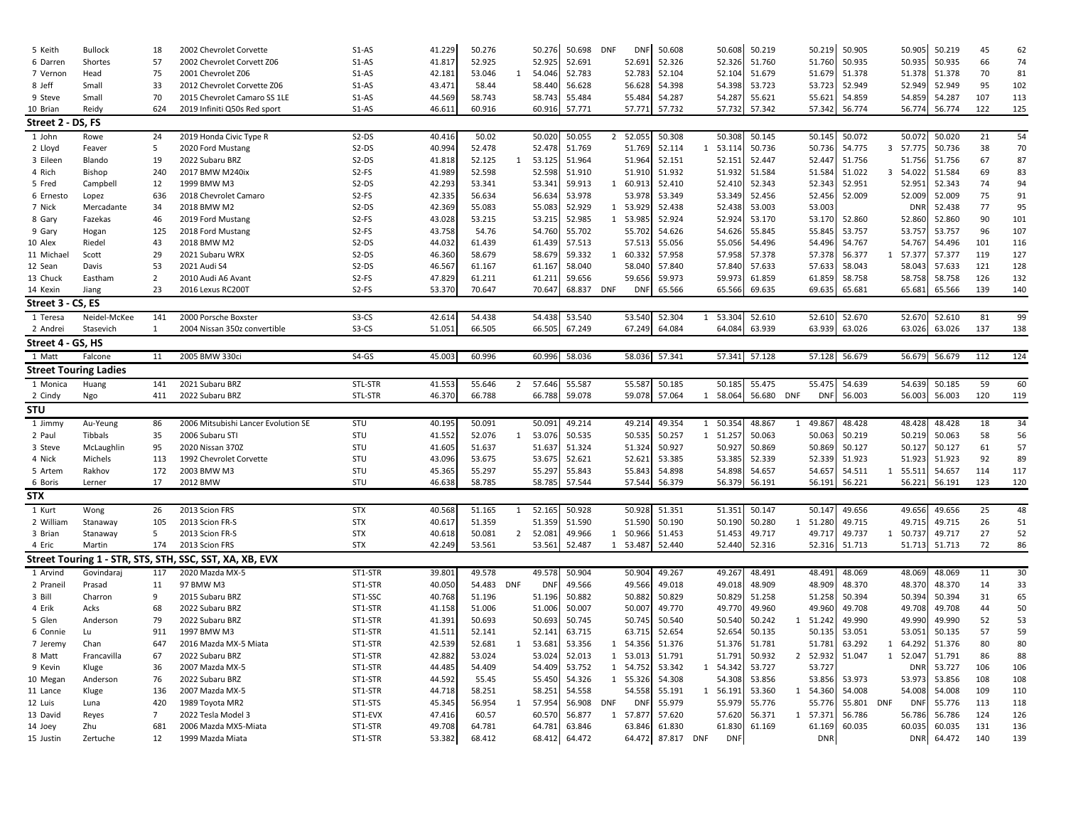| 5 Keith              | <b>Bullock</b>               | 18             | 2002 Chevrolet Corvette                                 | $S1-AS$            | 41.229           | 50.276           |                | 50.276           | 50.698           | <b>DNF</b>             | DNR        | 50.608               | 50.608                 | 50.219        |              | 50.219               | 50.905 |             | 50.905               | 50.219           | 45         | 62         |
|----------------------|------------------------------|----------------|---------------------------------------------------------|--------------------|------------------|------------------|----------------|------------------|------------------|------------------------|------------|----------------------|------------------------|---------------|--------------|----------------------|--------|-------------|----------------------|------------------|------------|------------|
| 6 Darren             | Shortes                      | 57             | 2002 Chevrolet Corvett Z06                              | $S1-AS$            | 41.817           | 52.925           |                | 52.925           | 52.691           | 52.691                 |            | 52.326               | 52.326                 | 51.760        |              | 51.760               | 50.935 |             | 50.935               | 50.935           | 66         | 74         |
| 7 Vernon             | Head                         | 75             | 2001 Chevrolet Z06                                      | $S1-AS$            | 42.181           | 53.046           | 1              | 54.046           | 52.783           | 52.783                 |            | 52.104               | 52.104                 | 51.679        |              | 51.679               | 51.378 |             | 51.378               | 51.378           | 70         | 81         |
| 8 Jeff               | Small                        | 33             | 2012 Chevrolet Corvette Z06                             | $S1-AS$            | 43.471           | 58.44            |                | 58.440           | 56.628           | 56.628                 |            | 54.398               | 54.398                 | 53.723        |              | 53.723               | 52.949 |             | 52.949               | 52.949           | 95         | 102        |
| 9 Steve              | Small                        | 70             | 2015 Chevrolet Camaro SS 1LE                            | $S1-AS$            | 44.569           | 58.743           |                | 58.743           | 55.484           | 55.484                 |            | 54.287               | 54.287                 | 55.621        |              | 55.621               | 54.859 |             | 54.859               | 54.287           | 107        | 113        |
| 10 Brian             | Reidy                        | 624            | 2019 Infiniti Q50s Red sport                            | $S1-AS$            | 46.611           | 60.916           |                | 60.916           | 57.771           | 57.771                 |            | 57.732               | 57.732                 | 57.342        |              | 57.342               | 56.774 |             | 56.774               | 56.774           | 122        | 125        |
| Street 2 - DS, FS    |                              |                |                                                         |                    |                  |                  |                |                  |                  |                        |            |                      |                        |               |              |                      |        |             |                      |                  |            |            |
| 1 John               | Rowe                         | 24             | 2019 Honda Civic Type R                                 | $S2-DS$            | 40.416           | 50.02            |                | 50.020           | 50.055           | $2^{\circ}$<br>52.055  |            | 50.308               | 50.308                 | 50.145        |              | 50.145               | 50.072 |             | 50.072               | 50.020           | 21         | 54         |
| 2 Lloyd              | Feaver                       | 5              | 2020 Ford Mustang                                       | $S2-DS$            | 40.994           | 52.478           |                | 52.478           | 51.769           | 51.769                 |            | 52.114               | 53.114<br>$\mathbf{1}$ | 50.736        |              | 50.736               | 54.775 | 3<br>57.775 |                      | 50.736           | 38         | 70         |
| 3 Eileen             | Blando                       | 19             | 2022 Subaru BRZ                                         | $S2-DS$            | 41.818           | 52.125           | 1              | 53.125           | 51.964           | 51.964                 |            | 52.151               | 52.151                 | 52.447        |              | 52.447               | 51.756 |             | 51.756               | 51.756           | 67         | 87         |
| 4 Rich               | <b>Bishop</b>                | 240            | 2017 BMW M240ix                                         | S2-FS              | 41.989           | 52.598           |                | 52.598           | 51.910           | 51.910                 |            | 51.932               | 51.932                 | 51.584        |              | 51.584               | 51.022 | 3 54.022    |                      | 51.584           | 69         | 83         |
| 5 Fred               | Campbell                     | 12             | 1999 BMW M3                                             | S2-DS              | 42.293           | 53.341           |                | 53.341           | 59.913           | 60.913<br>1            |            | 52.410               | 52.410                 | 52.343        |              | 52.343               | 52.951 |             | 52.951               | 52.343           | 74         | 94         |
| 6 Ernesto            | Lopez                        | 636            | 2018 Chevrolet Camaro                                   | S <sub>2</sub> -FS | 42.335           | 56.634           |                | 56.634           | 53.978           | 53.978                 |            | 53.349               | 53.349                 | 52.456        |              | 52.456               | 52.009 |             | 52.009               | 52.009           | 75         | 91         |
| 7 Nick               | Mercadante                   | 34             | 2018 BMW M2                                             | $S2-DS$            | 42.369           | 55.083           |                | 55.083           | 52.929           | 1 53.929               |            | 52.438               | 52.438                 | 53.003        |              | 53.003               |        |             | <b>DNR</b>           | 52.438           | 77         | 95         |
| 8 Gary               | Fazekas                      | 46             | 2019 Ford Mustang                                       | S2-FS              | 43.028           | 53.215           |                | 53.215           | 52.985           | 1 53.985               |            | 52.924               | 52.924                 | 53.170        |              | 53.170               | 52.860 |             | 52.860               | 52.860           | 90         | 101        |
| 9 Gary               | Hogan                        | 125            | 2018 Ford Mustang                                       | S2-FS              | 43.758           | 54.76            |                | 54.760           | 55.702           | 55.702                 |            | 54.626               | 54.626                 | 55.845        |              | 55.845               | 53.757 |             | 53.757               | 53.757           | 96         | 107        |
| 10 Alex              | Riedel                       | 43             | 2018 BMW M2                                             | $S2-DS$            | 44.032           | 61.439           |                | 61.439           | 57.513           | 57.513                 |            | 55.056               | 55.056                 | 54.496        |              | 54.496               | 54.767 |             | 54.767               | 54.496           | 101        | 116        |
| 11 Michael           | Scott                        | 29             | 2021 Subaru WRX                                         | $S2-DS$            | 46.360           | 58.679           |                | 58.679           | 59.332           | $\mathbf{1}$<br>60.332 |            | 57.958               | 57.958                 | 57.378        |              | 57.378               | 56.377 | 1 57.377    |                      | 57.377           | 119        | 127        |
| 12 Sean              | Davis                        | 53             | 2021 Audi S4                                            | $S2-DS$            | 46.567           | 61.167           |                | 61.167           | 58.040           | 58.040                 |            | 57.840               | 57.840                 | 57.633        |              | 57.633               | 58.043 |             | 58.043               | 57.633           | 121        | 128        |
| 13 Chuck             | Eastham                      | $\overline{2}$ | 2010 Audi A6 Avant                                      | S2-FS              | 47.829           | 61.211           |                | 61.211           | 59.656           | 59.656                 |            | 59.973               | 59.973                 | 61.859        |              | 61.859               | 58.758 |             | 58.758               | 58.758           | 126        | 132        |
| 14 Kexin             | Jiang                        | 23             | 2016 Lexus RC200T                                       | S2-FS              | 53.370           | 70.647           |                | 70.647           | 68.837 DNF       |                        | <b>DNF</b> | 65.566               | 65.566                 | 69.635        |              | 69.635               | 65.681 |             | 65.681               | 65.566           | 139        | 140        |
| Street 3 - CS, ES    |                              |                |                                                         |                    |                  |                  |                |                  |                  |                        |            |                      |                        |               |              |                      |        |             |                      |                  |            |            |
| 1 Teresa             | Neidel-McKee                 | 141            | 2000 Porsche Boxster                                    | S3-CS              | 42.614           | 54.438           |                | 54.438           | 53.540           | 53.540                 |            | 52.304               | 1 53.304               | 52.610        |              | 52.610               | 52.670 |             | 52.670               | 52.610           | 81         | 99         |
| 2 Andrei             | Stasevich                    | $\mathbf{1}$   | 2004 Nissan 350z convertible                            | S3-CS              | 51.051           | 66.505           |                | 66.505           | 67.249           | 67.249                 |            | 64.084               | 64.084                 | 63.939        |              | 63.939               | 63.026 |             | 63.026               | 63.026           | 137        | 138        |
| Street 4 - GS, HS    |                              |                |                                                         |                    |                  |                  |                |                  |                  |                        |            |                      |                        |               |              |                      |        |             |                      |                  |            |            |
| 1 Matt               | Falcone                      | 11             | 2005 BMW 330ci                                          | $S4-GS$            | 45.003           | 60.996           |                | 60.996           | 58.036           | 58.036                 | 57.341     |                      |                        | 57.341 57.128 |              | 57.128 56.679        |        |             | 56.679               | 56.679           | 112        | 124        |
|                      | <b>Street Touring Ladies</b> |                |                                                         |                    |                  |                  |                |                  |                  |                        |            |                      |                        |               |              |                      |        |             |                      |                  |            |            |
| 1 Monica             |                              | 141            | 2021 Subaru BRZ                                         | STL-STR            | 41.553           | 55.646           | $\overline{2}$ | 57.646           | 55.587           | 55.587                 |            | 50.185               | 50.185                 | 55.475        |              | 55.475               | 54.639 |             | 54.639               | 50.185           | 59         | 60         |
| 2 Cindy              | Huang<br>Ngo                 | 411            | 2022 Subaru BRZ                                         | STL-STR            | 46.370           | 66.788           |                | 66.788           | 59.078           | 59.078                 |            | 57.064               | 58.064<br>1            | 56.680        | <b>DNF</b>   | <b>DNF</b>           | 56.003 |             | 56.003               | 56.003           | 120        | 119        |
|                      |                              |                |                                                         |                    |                  |                  |                |                  |                  |                        |            |                      |                        |               |              |                      |        |             |                      |                  |            |            |
|                      |                              |                |                                                         |                    |                  |                  |                |                  |                  |                        |            |                      |                        |               |              |                      |        |             |                      |                  |            |            |
| <b>STU</b>           |                              |                |                                                         |                    |                  |                  |                |                  |                  |                        |            |                      |                        |               |              |                      |        |             |                      |                  |            |            |
| 1 Jimmy              | Au-Yeung                     | 86             | 2006 Mitsubishi Lancer Evolution SE                     | STU                | 40.195           | 50.091           |                | 50.091           | 49.214           | 49.214                 |            | 49.354               | 1 50.354               | 48.867        | 1            | 49.86                | 48.428 |             | 48.428               | 48.428           | 18         | 34         |
| 2 Paul               | Tibbals                      | 35             | 2006 Subaru STI                                         | STU                | 41.552           | 52.076           | $\mathbf{1}$   | 53.076           | 50.535           | 50.535                 |            | 50.257               | 1 51.257               | 50.063        |              | 50.063               | 50.219 |             | 50.219               | 50.063           | 58         | 56         |
| 3 Steve              | McLaughlin                   | 95             | 2020 Nissan 370Z                                        | STU                | 41.605           | 51.637           |                | 51.637           | 51.324           | 51.324                 |            | 50.927               | 50.927                 | 50.869        |              | 50.869               | 50.127 |             | 50.127               | 50.127           | 61         | 57         |
| 4 Nick               | Michels                      | 113            | 1992 Chevrolet Corvette                                 | STU                | 43.096           | 53.675           |                | 53.675           | 52.621           | 52.621                 |            | 53.385               | 53.385                 | 52.339        |              | 52.339               | 51.923 |             | 51.923               | 51.923           | 92         | 89         |
| 5 Artem              | Rakhov                       | 172            | 2003 BMW M3                                             | STU                | 45.365           | 55.297           |                | 55.297           | 55.843           | 55.843                 |            | 54.898               | 54.898                 | 54.657        |              | 54.657               | 54.511 | 1 55.511    |                      | 54.657           | 114        | 117        |
| 6 Boris              | Lerner                       | 17             | 2012 BMW                                                | STU                | 46.638           | 58.785           |                | 58.785           | 57.544           | 57.544                 |            | 56.379               | 56.379                 | 56.191        |              | 56.191               | 56.221 |             | 56.221               | 56.191           | 123        | 120        |
| <b>STX</b>           |                              |                |                                                         |                    |                  |                  |                |                  |                  |                        |            |                      |                        |               |              |                      |        |             |                      |                  |            |            |
| 1 Kurt               | Wong                         | 26             | 2013 Scion FRS                                          | <b>STX</b>         | 40.568           | 51.165           | 1              | 52.165           | 50.928           | 50.92                  |            | 51.351               | 51.351                 | 50.147        |              | 50.147               | 49.656 |             | 49.656               | 49.656           | 25         | 48         |
| 2 William            | Stanaway                     | 105            | 2013 Scion FR-S                                         | <b>STX</b>         | 40.617           | 51.359           |                | 51.359           | 51.590           | 51.590                 |            | 50.190               | 50.190                 | 50.280        | 1            | 51.280               | 49.715 |             | 49.715               | 49.715           | 26         | 51         |
| 3 Brian              | Stanaway                     | 5              | 2013 Scion FR-S                                         | <b>STX</b>         | 40.618           | 50.081           | 2              | 52.081           | 49.966           | 50.966<br>1            |            | 51.453               | 51.453                 | 49.717        |              | 49.717               | 49.737 | 1 50.737    |                      | 49.717           | 27         | 52         |
| 4 Eric               | Martin                       | 174            | 2013 Scion FRS                                          | <b>STX</b>         | 42.249           | 53.561           |                | 53.561           | 52.487           | 1 53.487               |            | 52.440               | 52.440                 | 52.316        |              | 52.316               | 51.713 |             | 51.713               | 51.713           | 72         | 86         |
|                      |                              |                | Street Touring 1 - STR, STS, STH, SSC, SST, XA, XB, EVX |                    |                  |                  |                |                  |                  |                        |            |                      |                        |               |              |                      |        |             |                      |                  |            |            |
| 1 Arvind             | Govindaraj                   | 117            | 2020 Mazda MX-5                                         | ST1-STR            | 39.801           | 49.578           |                | 49.578           | 50.904           | 50.904                 |            | 49.267               | 49.267                 | 48.491        |              | 48.491               | 48.069 |             | 48.069               | 48.069           | 11         | 30         |
| 2 Praneil            | Prasad                       | 11             | 97 BMW M3                                               | ST1-STR            | 40.050           | 54.483           | <b>DNF</b>     | <b>DNF</b>       | 49.566           | 49.566                 |            | 49.018               | 49.018                 | 48.909        |              | 48.909               | 48.370 |             | 48.370               | 48.370           | 14         | 33         |
| 3 Bill               | Charron                      | 9              | 2015 Subaru BRZ                                         | ST1-SSC            | 40.768           | 51.196           |                | 51.196           | 50.882           | 50.882                 |            | 50.829               | 50.829                 | 51.258        |              | 51.258               | 50.394 |             | 50.394               | 50.394           | 31         | 65         |
| 4 Erik               | Acks                         | 68             | 2022 Subaru BRZ                                         | ST1-STR            | 41.158           | 51.006           |                | 51.006           | 50.007           | 50.007                 |            | 49.770               | 49.770                 | 49.960        |              | 49.960               | 49.708 |             | 49.708               | 49.708           | 44         | 50         |
| 5 Glen               | Anderson                     | 79             | 2022 Subaru BRZ                                         | ST1-STR            | 41.391           | 50.693           |                | 50.693           | 50.745           | 50.745                 |            | 50.540               | 50.540                 | 50.242        | 1            | 51.242               | 49.990 |             | 49.990               | 49.990           | 52         | 53         |
| 6 Connie             | Lu                           | 911            | 1997 BMW M3                                             | ST1-STR            | 41.511           | 52.141           |                | 52.141           | 63.715           | 63.715                 |            | 52.654               | 52.654                 | 50.135        |              | 50.135               | 53.051 |             | 53.051               | 50.135           | 57         | 59         |
| 7 Jeremy             | Chan                         | 647            | 2016 Mazda MX-5 Miata                                   | ST1-STR            | 42.539           | 52.681           | 1              | 53.681           | 53.356           | 54.356<br>1            |            | 51.376               | 51.376                 | 51.781        |              | 51.781               | 63.292 | 1           | 64.292               | 51.376           | 80         | 80         |
| 8 Matt               | Francavilla                  | 67             | 2022 Subaru BRZ                                         | ST1-STR            | 42.882           | 53.024           |                | 53.024           | 52.013           | 1 53.013               |            | 51.791               | 51.791                 | 50.932        | 2            | 52.93                | 51.047 | 1 52.047    |                      | 51.791           | 86         | 88         |
| 9 Kevin              | Kluge                        | 36             | 2007 Mazda MX-5                                         | ST1-STR            | 44.485           | 54.409           |                | 54.409           | 53.752           | 1 54.752               |            | 53.342               | 1 54.342               | 53.727        |              | 53.727               |        |             | <b>DNR</b>           | 53.727           | 106        | 106        |
| 10 Megan             | Anderson                     | 76             | 2022 Subaru BRZ                                         | ST1-STR            | 44.592           | 55.45            |                | 55.450           | 54.326           | 1 55.326               |            | 54.308               | 54.308                 | 53.856        |              | 53.856               | 53.973 |             | 53.973               | 53.856           | 108        | 108        |
| 11 Lance             | Kluge                        | 136            | 2007 Mazda MX-5                                         | ST1-STR            | 44.718           | 58.251           |                | 58.251           | 54.558           | 54.558                 |            | 55.191               | 1 56.191               | 53.360        | $\mathbf{1}$ | 54.360               | 54.008 |             | 54.008               | 54.008           | 109        | 110        |
| 12 Luis              | Luna                         | 420            | 1989 Toyota MR2                                         | ST1-STS            | 45.345           | 56.954           | 1              | 57.954           | 56.908           | <b>DNF</b>             | <b>DNI</b> | 55.979               | 55.979                 | 55.776        |              | 55.776               | 55.801 | DNF         | <b>DNF</b>           | 55.776           | 113        | 118        |
| 13 David             | Reyes                        | $\overline{7}$ | 2022 Tesla Model 3                                      | ST1-EVX            | 47.416           | 60.57            |                | 60.570           | 56.877           | 1 57.877               |            | 57.620               | 57.620                 | 56.371        | 1            | 57.371               | 56.786 |             | 56.786               | 56.786           | 124        | 126        |
| 14 Joey<br>15 Justin | Zhu<br>Zertuche              | 681<br>12      | 2006 Mazda MX5-Miata<br>1999 Mazda Miata                | ST1-STR<br>ST1-STR | 49.708<br>53.382 | 64.781<br>68.412 |                | 64.781<br>68.412 | 63.846<br>64.472 | 63.846<br>64.472       |            | 61.830<br>87.817 DNF | 61.830<br><b>DNF</b>   | 61.169        |              | 61.169<br><b>DNR</b> | 60.035 |             | 60.035<br><b>DNR</b> | 60.035<br>64.472 | 131<br>140 | 136<br>139 |